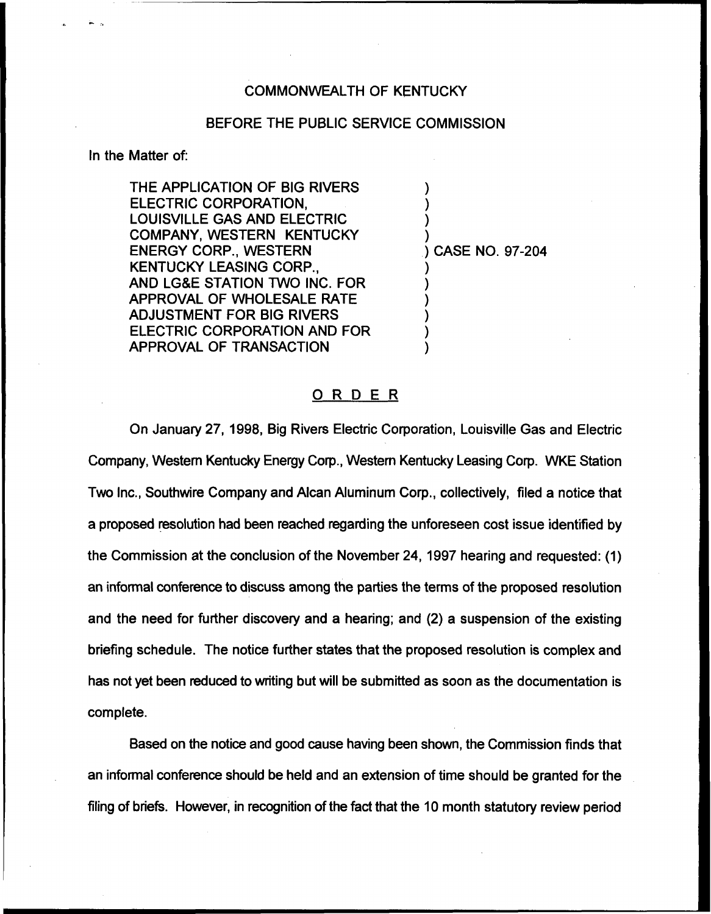## COMMONWEALTH OF KENTUCKY

## BEFORE THE PUBLIC SERVICE COMMISSION

In the Matter of:

THE APPLICATION OF BIG RIVERS ELECTRIC CORPORATION, LOUISVILLE GAS AND ELECTRIC COMPANY, WESTERN KENTUCKY ENERGY CORP., WESTERN KENTUCKY LEASING CORP., AND LG&E STATION TWO INC. FOR APPROVAL OF WHOLESALE RATE ADJUSTMENT FOR BIG RIVERS ELECTRIC CORPORATION AND FOR APPROVAL OF TRANSACTION

) CASE NO. 97-204

) ) ) )

) ) ) ) ) )

## ORDER

On January 27, 1998, Big Rivers Electric Corporation, Louisville Gas and Electric Company, Western Kentucky Energy Corp., Western Kentucky Leasing Corp. WKE Station Two Inc., Southwire Company and Alcan Aluminum Corp., collectively, filed a notice that a proposed resolution had been reached regarding the unforeseen cost issue identified by the Commission at the conclusion of the November 24, 1997 hearing and requested: (1) an informal conference to discuss among the parties the terms of the proposed resolution and the need for further discovery and a hearing; and (2) a suspension of the existing briefing schedule. The notice further states that the proposed resolution is complex and has not yet been reduced to writing but will be submitted as soon as the documentation is complete.

Based on the notice and good cause having been shown, the Commission finds that an informal conference should be held and an extension of time should be granted for the filing of briefs. However, in recognition of the fact that the 10 month statutory review period